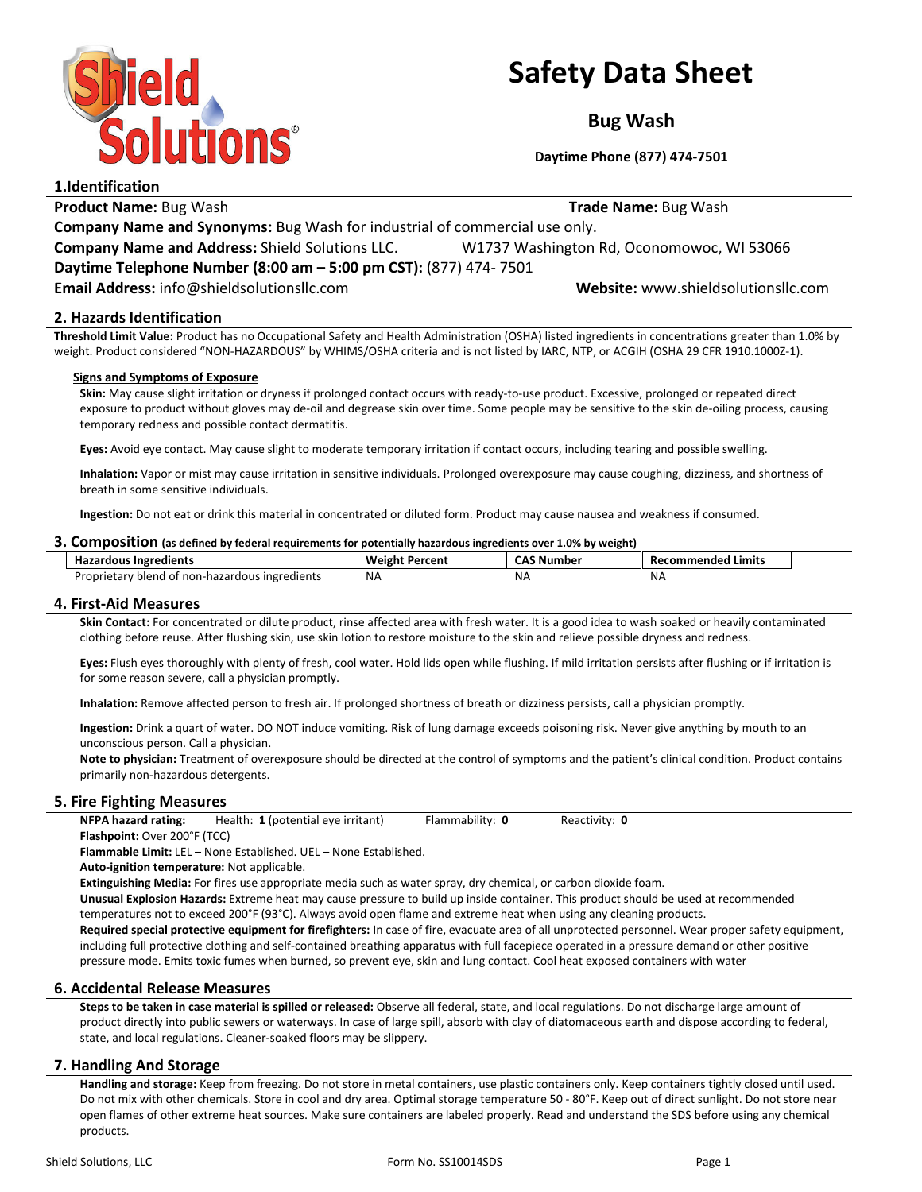

# Safety Data Sheet

Bug Wash

Daytime Phone (877) 474-7501

| 1.IUCIILIILALIOII                                                                 |                                           |  |
|-----------------------------------------------------------------------------------|-------------------------------------------|--|
| <b>Product Name: Bug Wash</b>                                                     | <b>Trade Name: Bug Wash</b>               |  |
| <b>Company Name and Synonyms:</b> Bug Wash for industrial of commercial use only. |                                           |  |
| <b>Company Name and Address: Shield Solutions LLC.</b>                            | W1737 Washington Rd, Oconomowoc, WI 53066 |  |
| Daytime Telephone Number (8:00 am - 5:00 pm CST): (877) 474-7501                  |                                           |  |
| Email Address: info@shieldsolutionsllc.com                                        | Website: www.shieldsolutionsllc.com       |  |
|                                                                                   |                                           |  |

# 2. Hazards Identification

Threshold Limit Value: Product has no Occupational Safety and Health Administration (OSHA) listed ingredients in concentrations greater than 1.0% by weight. Product considered "NON-HAZARDOUS" by WHIMS/OSHA criteria and is not listed by IARC, NTP, or ACGIH (OSHA 29 CFR 1910.1000Z-1).

## Signs and Symptoms of Exposure

Skin: May cause slight irritation or dryness if prolonged contact occurs with ready-to-use product. Excessive, prolonged or repeated direct exposure to product without gloves may de-oil and degrease skin over time. Some people may be sensitive to the skin de-oiling process, causing temporary redness and possible contact dermatitis.

Eyes: Avoid eye contact. May cause slight to moderate temporary irritation if contact occurs, including tearing and possible swelling.

Inhalation: Vapor or mist may cause irritation in sensitive individuals. Prolonged overexposure may cause coughing, dizziness, and shortness of breath in some sensitive individuals.

Ingestion: Do not eat or drink this material in concentrated or diluted form. Product may cause nausea and weakness if consumed.

## 3. Composition (as defined by federal requirements for potentially hazardous ingredients over 1.0% by weight)

| <b>Hazardous Ingredients</b>                   | Weight Percent | . Number<br>. | Recommended Limits |
|------------------------------------------------|----------------|---------------|--------------------|
| Proprietary blend of non-hazardous ingredients | <b>NA</b>      | ΝA            | <b>NA</b>          |

## 4. First-Aid Measures

Skin Contact: For concentrated or dilute product, rinse affected area with fresh water. It is a good idea to wash soaked or heavily contaminated clothing before reuse. After flushing skin, use skin lotion to restore moisture to the skin and relieve possible dryness and redness.

Eyes: Flush eyes thoroughly with plenty of fresh, cool water. Hold lids open while flushing. If mild irritation persists after flushing or if irritation is for some reason severe, call a physician promptly.

Inhalation: Remove affected person to fresh air. If prolonged shortness of breath or dizziness persists, call a physician promptly.

Ingestion: Drink a quart of water. DO NOT induce vomiting. Risk of lung damage exceeds poisoning risk. Never give anything by mouth to an unconscious person. Call a physician.

Note to physician: Treatment of overexposure should be directed at the control of symptoms and the patient's clinical condition. Product contains primarily non-hazardous detergents.

## 5. Fire Fighting Measures

NFPA hazard rating: Health: 1 (potential eye irritant) Flammability: 0 Reactivity: 0 Flashpoint: Over 200°F (TCC)

Flammable Limit: LEL – None Established. UEL – None Established.

Auto-ignition temperature: Not applicable.

Extinguishing Media: For fires use appropriate media such as water spray, dry chemical, or carbon dioxide foam.

Unusual Explosion Hazards: Extreme heat may cause pressure to build up inside container. This product should be used at recommended temperatures not to exceed 200°F (93°C). Always avoid open flame and extreme heat when using any cleaning products.

Required special protective equipment for firefighters: In case of fire, evacuate area of all unprotected personnel. Wear proper safety equipment, including full protective clothing and self-contained breathing apparatus with full facepiece operated in a pressure demand or other positive pressure mode. Emits toxic fumes when burned, so prevent eye, skin and lung contact. Cool heat exposed containers with water

## 6. Accidental Release Measures

Steps to be taken in case material is spilled or released: Observe all federal, state, and local regulations. Do not discharge large amount of product directly into public sewers or waterways. In case of large spill, absorb with clay of diatomaceous earth and dispose according to federal, state, and local regulations. Cleaner-soaked floors may be slippery.

## 7. Handling And Storage

Handling and storage: Keep from freezing. Do not store in metal containers, use plastic containers only. Keep containers tightly closed until used. Do not mix with other chemicals. Store in cool and dry area. Optimal storage temperature 50 - 80°F. Keep out of direct sunlight. Do not store near open flames of other extreme heat sources. Make sure containers are labeled properly. Read and understand the SDS before using any chemical products.